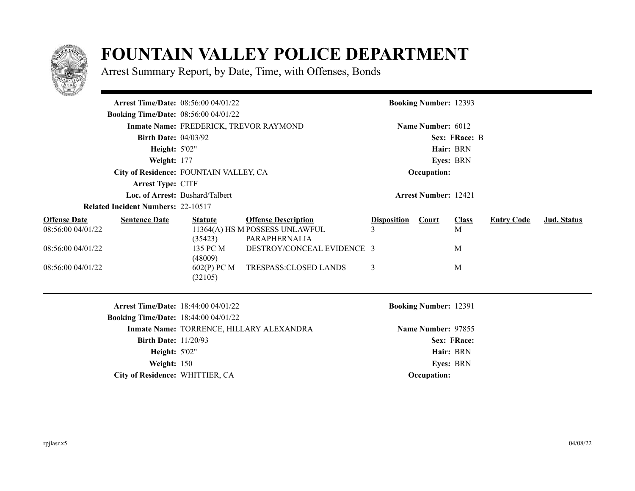

## **FOUNTAIN VALLEY POLICE DEPARTMENT**

Arrest Summary Report, by Date, Time, with Offenses, Bonds

| <b>Arrest Time/Date: 08:56:00 04/01/22</b>                       |                                        |                                                                               |                    | <b>Booking Number: 12393</b> |                   |                   |                    |
|------------------------------------------------------------------|----------------------------------------|-------------------------------------------------------------------------------|--------------------|------------------------------|-------------------|-------------------|--------------------|
| <b>Booking Time/Date: 08:56:00 04/01/22</b>                      |                                        |                                                                               |                    |                              |                   |                   |                    |
|                                                                  | Inmate Name: FREDERICK, TREVOR RAYMOND |                                                                               |                    | Name Number: 6012            |                   |                   |                    |
| <b>Birth Date: 04/03/92</b>                                      |                                        |                                                                               |                    |                              | Sex: FRace: B     |                   |                    |
| <b>Height: 5'02"</b>                                             |                                        |                                                                               |                    | Hair: BRN                    |                   |                   |                    |
| Weight: 177                                                      |                                        |                                                                               | <b>Eyes: BRN</b>   |                              |                   |                   |                    |
|                                                                  | City of Residence: FOUNTAIN VALLEY, CA |                                                                               |                    | Occupation:                  |                   |                   |                    |
| Arrest Type: CITF                                                |                                        |                                                                               |                    |                              |                   |                   |                    |
|                                                                  | Loc. of Arrest: Bushard/Talbert        |                                                                               |                    | <b>Arrest Number: 12421</b>  |                   |                   |                    |
| <b>Related Incident Numbers: 22-10517</b>                        |                                        |                                                                               |                    |                              |                   |                   |                    |
| <b>Offense Date</b><br><b>Sentence Date</b><br>08:56:00 04/01/22 | <b>Statute</b><br>(35423)              | <b>Offense Description</b><br>11364(A) HS M POSSESS UNLAWFUL<br>PARAPHERNALIA | <b>Disposition</b> | Court                        | <b>Class</b><br>M | <b>Entry Code</b> | <b>Jud. Status</b> |
| 08:56:00 04/01/22                                                | 135 PC M<br>(48009)                    | DESTROY/CONCEAL EVIDENCE 3                                                    |                    |                              | M                 |                   |                    |
| 08:56:00 04/01/22                                                | 602(P) PC M<br>(32105)                 | TRESPASS:CLOSED LANDS                                                         | 3                  |                              | M                 |                   |                    |
| <b>Arrest Time/Date: 18:44:00 04/01/22</b>                       |                                        |                                                                               |                    | <b>Booking Number: 12391</b> |                   |                   |                    |
| <b>Booking Time/Date: 18:44:00 04/01/22</b>                      |                                        |                                                                               |                    |                              |                   |                   |                    |
|                                                                  |                                        | Inmate Name: TORRENCE, HILLARY ALEXANDRA                                      |                    | Name Number: 97855           |                   |                   |                    |
| <b>Birth Date: 11/20/93</b>                                      |                                        |                                                                               |                    |                              | Sex: FRace:       |                   |                    |
| <b>Height: 5'02"</b>                                             |                                        |                                                                               |                    | Hair: BRN                    |                   |                   |                    |
| Weight: 150                                                      |                                        |                                                                               |                    | Eyes: BRN                    |                   |                   |                    |
| City of Residence: WHITTIER, CA                                  |                                        |                                                                               |                    | Occupation:                  |                   |                   |                    |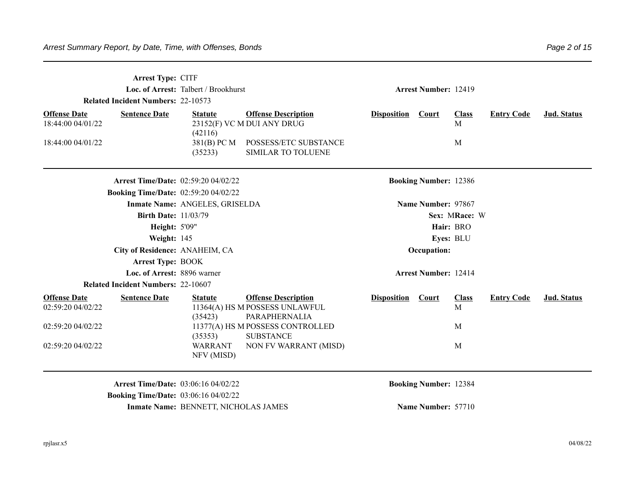|                                                                                           | <b>Arrest Type: CITF</b><br>Loc. of Arrest: Talbert / Brookhurst<br><b>Related Incident Numbers: 22-10573</b><br><b>Sentence Date</b><br><b>Offense Description</b><br><b>Statute</b> |                                                                               |                    |                              |                              | <b>Arrest Number: 12419</b> |             |  |  |  |
|-------------------------------------------------------------------------------------------|---------------------------------------------------------------------------------------------------------------------------------------------------------------------------------------|-------------------------------------------------------------------------------|--------------------|------------------------------|------------------------------|-----------------------------|-------------|--|--|--|
| <b>Offense Date</b><br>18:44:00 04/01/22                                                  | (42116)                                                                                                                                                                               | 23152(F) VC M DUI ANY DRUG                                                    | <b>Disposition</b> | <b>Court</b>                 | <b>Class</b><br>$\mathbf{M}$ | <b>Entry Code</b>           | Jud. Status |  |  |  |
| 18:44:00 04/01/22                                                                         | 381(B) PC M<br>(35233)                                                                                                                                                                | POSSESS/ETC SUBSTANCE<br><b>SIMILAR TO TOLUENE</b>                            |                    |                              | M                            |                             |             |  |  |  |
| <b>Arrest Time/Date: 02:59:20 04/02/22</b>                                                |                                                                                                                                                                                       |                                                                               |                    | <b>Booking Number: 12386</b> |                              |                             |             |  |  |  |
| <b>Booking Time/Date: 02:59:20 04/02/22</b>                                               | Inmate Name: ANGELES, GRISELDA                                                                                                                                                        |                                                                               |                    | Name Number: 97867           |                              |                             |             |  |  |  |
| <b>Birth Date: 11/03/79</b>                                                               |                                                                                                                                                                                       |                                                                               |                    |                              | Sex: MRace: W                |                             |             |  |  |  |
| Height: 5'09"                                                                             |                                                                                                                                                                                       |                                                                               |                    | Hair: BRO                    |                              |                             |             |  |  |  |
| Weight: 145                                                                               |                                                                                                                                                                                       |                                                                               |                    |                              | Eyes: BLU                    |                             |             |  |  |  |
| City of Residence: ANAHEIM, CA                                                            |                                                                                                                                                                                       |                                                                               |                    | Occupation:                  |                              |                             |             |  |  |  |
| <b>Arrest Type: BOOK</b>                                                                  |                                                                                                                                                                                       |                                                                               |                    |                              |                              |                             |             |  |  |  |
| Loc. of Arrest: 8896 warner                                                               |                                                                                                                                                                                       |                                                                               |                    | <b>Arrest Number: 12414</b>  |                              |                             |             |  |  |  |
| <b>Related Incident Numbers: 22-10607</b>                                                 |                                                                                                                                                                                       |                                                                               |                    |                              |                              |                             |             |  |  |  |
| <b>Offense Date</b><br><b>Sentence Date</b><br>02:59:20 04/02/22                          | <b>Statute</b><br>(35423)                                                                                                                                                             | <b>Offense Description</b><br>11364(A) HS M POSSESS UNLAWFUL<br>PARAPHERNALIA | <b>Disposition</b> | Court                        | <b>Class</b><br>M            | <b>Entry Code</b>           | Jud. Status |  |  |  |
| 02:59:20 04/02/22                                                                         | (35353)                                                                                                                                                                               | 11377(A) HS M POSSESS CONTROLLED<br><b>SUBSTANCE</b>                          |                    |                              | M                            |                             |             |  |  |  |
| 02:59:20 04/02/22                                                                         | <b>WARRANT</b><br>NFV (MISD)                                                                                                                                                          | NON FV WARRANT (MISD)                                                         |                    |                              | M                            |                             |             |  |  |  |
| <b>Arrest Time/Date: 03:06:16 04/02/22</b><br><b>Booking Time/Date: 03:06:16 04/02/22</b> |                                                                                                                                                                                       |                                                                               |                    | <b>Booking Number: 12384</b> |                              |                             |             |  |  |  |

**Inmate Name: BENNETT, NICHOLAS JAMES Name Number: 57710**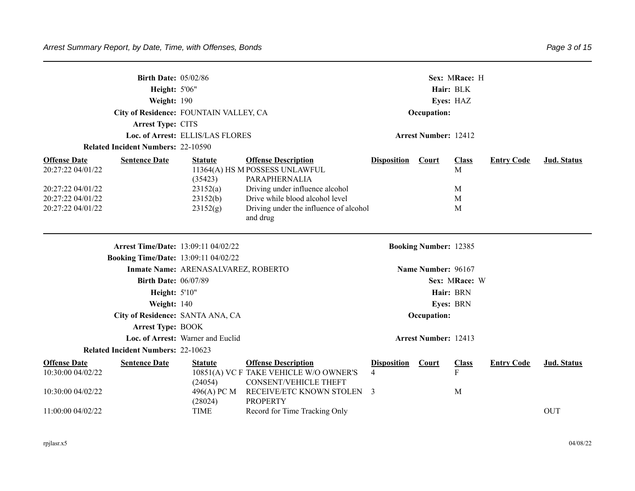| <b>Birth Date: 05/02/86</b><br>Height: 5'06"<br>Weight: 190<br>City of Residence: FOUNTAIN VALLEY, CA<br>Arrest Type: CITS<br>Loc. of Arrest: ELLIS/LAS FLORES<br><b>Related Incident Numbers: 22-10590</b><br><b>Offense Description</b><br><b>Sentence Date</b><br><b>Statute</b><br>11364(A) HS M POSSESS UNLAWFUL |                                                                                                                             |                                                                          |                                                                                                                                                                                      | Sex: MRace: H<br>Hair: BLK<br>Eyes: HAZ<br>Occupation:<br><b>Arrest Number: 12412</b> |                                   |                                                |                   |                           |  |
|-----------------------------------------------------------------------------------------------------------------------------------------------------------------------------------------------------------------------------------------------------------------------------------------------------------------------|-----------------------------------------------------------------------------------------------------------------------------|--------------------------------------------------------------------------|--------------------------------------------------------------------------------------------------------------------------------------------------------------------------------------|---------------------------------------------------------------------------------------|-----------------------------------|------------------------------------------------|-------------------|---------------------------|--|
| <b>Offense Date</b><br>20:27:22 04/01/22<br>20:27:22 04/01/22<br>20:27:22 04/01/22<br>20:27:22 04/01/22                                                                                                                                                                                                               |                                                                                                                             | (35423)<br>23152(a)<br>23152(b)<br>23152(g)                              | PARAPHERNALIA<br>Driving under influence alcohol<br>Drive while blood alcohol level<br>Driving under the influence of alcohol<br>and drug                                            | <b>Disposition</b>                                                                    | <b>Court</b>                      | <b>Class</b><br>$\mathbf{M}$<br>M<br>M<br>M    | <b>Entry Code</b> | Jud. Status               |  |
|                                                                                                                                                                                                                                                                                                                       | <b>Arrest Time/Date: 13:09:11 04/02/22</b><br><b>Booking Time/Date: 13:09:11 04/02/22</b>                                   |                                                                          |                                                                                                                                                                                      |                                                                                       | <b>Booking Number: 12385</b>      |                                                |                   |                           |  |
|                                                                                                                                                                                                                                                                                                                       | <b>Birth Date: 06/07/89</b><br>Height: 5'10"<br>Weight: 140<br>City of Residence: SANTA ANA, CA<br><b>Arrest Type: BOOK</b> | Inmate Name: ARENASALVAREZ, ROBERTO<br>Loc. of Arrest: Warner and Euclid |                                                                                                                                                                                      |                                                                                       | Name Number: 96167<br>Occupation: | Sex: MRace: W<br>Hair: BRN<br><b>Eyes: BRN</b> |                   |                           |  |
|                                                                                                                                                                                                                                                                                                                       | <b>Related Incident Numbers: 22-10623</b>                                                                                   |                                                                          |                                                                                                                                                                                      |                                                                                       | <b>Arrest Number: 12413</b>       |                                                |                   |                           |  |
| <b>Offense Date</b><br>10:30:00 04/02/22<br>10:30:00 04/02/22<br>11:00:00 04/02/22                                                                                                                                                                                                                                    | <b>Sentence Date</b>                                                                                                        | <b>Statute</b><br>(24054)<br>496(A) PC M<br>(28024)<br><b>TIME</b>       | <b>Offense Description</b><br>10851(A) VC F TAKE VEHICLE W/O OWNER'S<br><b>CONSENT/VEHICLE THEFT</b><br>RECEIVE/ETC KNOWN STOLEN<br><b>PROPERTY</b><br>Record for Time Tracking Only | <b>Disposition</b><br>$\overline{4}$<br>3                                             | <b>Court</b>                      | <b>Class</b><br>F<br>M                         | <b>Entry Code</b> | Jud. Status<br><b>OUT</b> |  |
|                                                                                                                                                                                                                                                                                                                       |                                                                                                                             |                                                                          |                                                                                                                                                                                      |                                                                                       |                                   |                                                |                   |                           |  |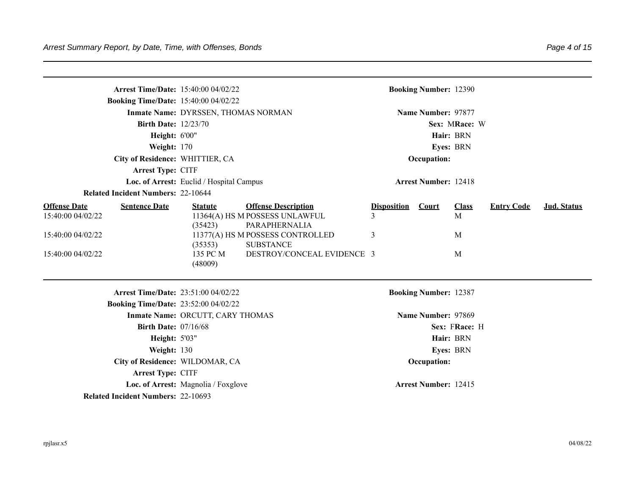|                                          | <b>Arrest Time/Date: 15:40:00 04/02/22</b>  |                                          |                                                                       |                         | <b>Booking Number: 12390</b> |                   |                   |             |
|------------------------------------------|---------------------------------------------|------------------------------------------|-----------------------------------------------------------------------|-------------------------|------------------------------|-------------------|-------------------|-------------|
|                                          | <b>Booking Time/Date: 15:40:00 04/02/22</b> |                                          |                                                                       |                         |                              |                   |                   |             |
|                                          |                                             | Inmate Name: DYRSSEN, THOMAS NORMAN      |                                                                       |                         | Name Number: 97877           |                   |                   |             |
|                                          | <b>Birth Date: 12/23/70</b>                 |                                          |                                                                       |                         |                              | Sex: MRace: W     |                   |             |
|                                          | Height: 6'00"                               |                                          |                                                                       |                         |                              | Hair: BRN         |                   |             |
|                                          | Weight: 170                                 |                                          |                                                                       |                         |                              | Eyes: BRN         |                   |             |
|                                          | City of Residence: WHITTIER, CA             |                                          |                                                                       |                         | Occupation:                  |                   |                   |             |
|                                          | Arrest Type: CITF                           |                                          |                                                                       |                         |                              |                   |                   |             |
|                                          |                                             | Loc. of Arrest: Euclid / Hospital Campus |                                                                       |                         | <b>Arrest Number: 12418</b>  |                   |                   |             |
|                                          | <b>Related Incident Numbers: 22-10644</b>   |                                          |                                                                       |                         |                              |                   |                   |             |
| <b>Offense Date</b><br>15:40:00 04/02/22 | <b>Sentence Date</b>                        | <b>Statute</b>                           | <b>Offense Description</b><br>11364(A) HS M POSSESS UNLAWFUL          | <b>Disposition</b><br>3 | Court                        | <b>Class</b><br>M | <b>Entry Code</b> | Jud. Status |
| 15:40:00 04/02/22                        |                                             | (35423)<br>(35353)                       | PARAPHERNALIA<br>11377(A) HS M POSSESS CONTROLLED<br><b>SUBSTANCE</b> | 3                       |                              | M                 |                   |             |
| 15:40:00 04/02/22                        |                                             | 135 PC M<br>(48009)                      | DESTROY/CONCEAL EVIDENCE 3                                            |                         |                              | M                 |                   |             |
|                                          | Arrest Time/Date: 23:51:00 04/02/22         |                                          |                                                                       |                         | <b>Booking Number: 12387</b> |                   |                   |             |
|                                          | <b>Booking Time/Date: 23:52:00 04/02/22</b> |                                          |                                                                       |                         |                              |                   |                   |             |
|                                          |                                             | Inmate Name: ORCUTT, CARY THOMAS         |                                                                       |                         | Name Number: 97869           |                   |                   |             |
|                                          | <b>Birth Date: 07/16/68</b>                 |                                          |                                                                       |                         |                              | Sex: FRace: H     |                   |             |
|                                          | <b>Height: 5'03"</b>                        |                                          |                                                                       |                         |                              | Hair: BRN         |                   |             |
|                                          | Weight: 130                                 |                                          |                                                                       |                         |                              | Eyes: BRN         |                   |             |
|                                          | City of Residence: WILDOMAR, CA             |                                          |                                                                       |                         | Occupation:                  |                   |                   |             |
|                                          | Arrest Type: CITF                           |                                          |                                                                       |                         |                              |                   |                   |             |
|                                          |                                             | Loc. of Arrest: Magnolia / Foxglove      |                                                                       |                         | <b>Arrest Number: 12415</b>  |                   |                   |             |
|                                          | <b>Related Incident Numbers: 22-10693</b>   |                                          |                                                                       |                         |                              |                   |                   |             |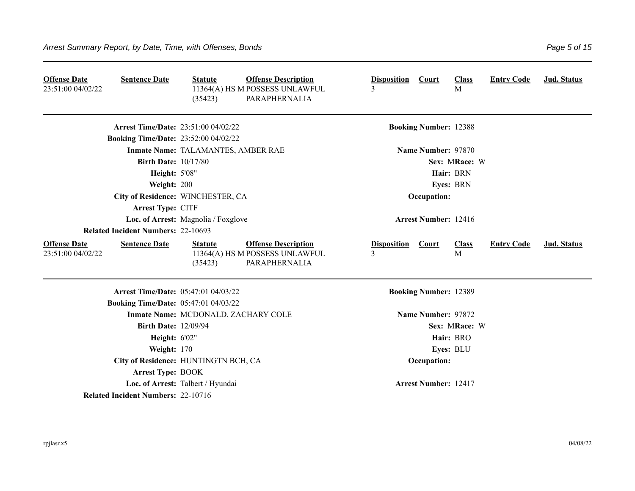| <b>Offense Date</b><br>23:51:00 04/02/22 | <b>Sentence Date</b>                        | <b>Statute</b><br>(35423)           | <b>Offense Description</b><br>11364(A) HS M POSSESS UNLAWFUL<br>PARAPHERNALIA | <b>Disposition</b>      | <b>Court</b>                 | <b>Class</b><br>M | <b>Entry Code</b> | Jud. Status        |
|------------------------------------------|---------------------------------------------|-------------------------------------|-------------------------------------------------------------------------------|-------------------------|------------------------------|-------------------|-------------------|--------------------|
|                                          | <b>Arrest Time/Date: 23:51:00 04/02/22</b>  |                                     |                                                                               |                         | <b>Booking Number: 12388</b> |                   |                   |                    |
|                                          | <b>Booking Time/Date: 23:52:00 04/02/22</b> |                                     |                                                                               |                         |                              |                   |                   |                    |
|                                          |                                             | Inmate Name: TALAMANTES, AMBER RAE  |                                                                               |                         | Name Number: 97870           |                   |                   |                    |
|                                          | <b>Birth Date: 10/17/80</b>                 |                                     |                                                                               |                         |                              | Sex: MRace: W     |                   |                    |
|                                          | <b>Height: 5'08"</b>                        |                                     |                                                                               |                         |                              | Hair: BRN         |                   |                    |
|                                          | Weight: 200                                 |                                     |                                                                               |                         |                              | Eyes: BRN         |                   |                    |
|                                          | City of Residence: WINCHESTER, CA           |                                     |                                                                               |                         | Occupation:                  |                   |                   |                    |
|                                          | Arrest Type: CITF                           |                                     |                                                                               |                         |                              |                   |                   |                    |
|                                          |                                             | Loc. of Arrest: Magnolia / Foxglove |                                                                               |                         | <b>Arrest Number: 12416</b>  |                   |                   |                    |
|                                          | <b>Related Incident Numbers: 22-10693</b>   |                                     |                                                                               |                         |                              |                   |                   |                    |
| <b>Offense Date</b><br>23:51:00 04/02/22 | <b>Sentence Date</b>                        | <b>Statute</b><br>(35423)           | <b>Offense Description</b><br>11364(A) HS M POSSESS UNLAWFUL<br>PARAPHERNALIA | <b>Disposition</b><br>3 | <b>Court</b>                 | <b>Class</b><br>M | <b>Entry Code</b> | <b>Jud.</b> Status |
|                                          | Arrest Time/Date: 05:47:01 04/03/22         |                                     |                                                                               |                         | <b>Booking Number: 12389</b> |                   |                   |                    |
|                                          | <b>Booking Time/Date: 05:47:01 04/03/22</b> |                                     |                                                                               |                         |                              |                   |                   |                    |
|                                          |                                             | Inmate Name: MCDONALD, ZACHARY COLE |                                                                               |                         | Name Number: 97872           |                   |                   |                    |
|                                          | <b>Birth Date: 12/09/94</b>                 |                                     |                                                                               |                         |                              | Sex: MRace: W     |                   |                    |
|                                          | <b>Height: 6'02"</b>                        |                                     |                                                                               |                         |                              | Hair: BRO         |                   |                    |
|                                          | Weight: 170                                 |                                     |                                                                               |                         |                              | Eyes: BLU         |                   |                    |
|                                          | City of Residence: HUNTINGTN BCH, CA        |                                     |                                                                               |                         | Occupation:                  |                   |                   |                    |
|                                          | <b>Arrest Type: BOOK</b>                    |                                     |                                                                               |                         |                              |                   |                   |                    |
|                                          |                                             | Loc. of Arrest: Talbert / Hyundai   |                                                                               |                         | <b>Arrest Number: 12417</b>  |                   |                   |                    |
|                                          | <b>Related Incident Numbers: 22-10716</b>   |                                     |                                                                               |                         |                              |                   |                   |                    |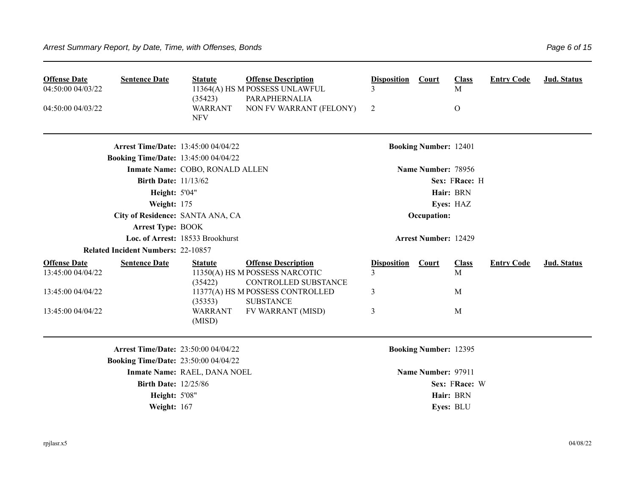| <b>Sentence Date</b><br><b>Offense Date</b><br>04:50:00 04/03/22<br>04:50:00 04/03/22 | <b>Statute</b><br>(35423)<br><b>WARRANT</b><br><b>NFV</b>   | <b>Offense Description</b><br>11364(A) HS M POSSESS UNLAWFUL<br>PARAPHERNALIA<br>NON FV WARRANT (FELONY) | <b>Disposition</b><br>2 | Court                        | <b>Class</b><br>M<br>$\mathbf{O}$ | <b>Entry Code</b> | Jud. Status |
|---------------------------------------------------------------------------------------|-------------------------------------------------------------|----------------------------------------------------------------------------------------------------------|-------------------------|------------------------------|-----------------------------------|-------------------|-------------|
|                                                                                       | <b>Arrest Time/Date: 13:45:00 04/04/22</b>                  |                                                                                                          |                         | <b>Booking Number: 12401</b> |                                   |                   |             |
|                                                                                       | <b>Booking Time/Date: 13:45:00 04/04/22</b>                 |                                                                                                          |                         |                              |                                   |                   |             |
|                                                                                       | Inmate Name: COBO, RONALD ALLEN                             |                                                                                                          |                         | Name Number: 78956           |                                   |                   |             |
|                                                                                       | <b>Birth Date: 11/13/62</b>                                 |                                                                                                          |                         |                              | Sex: FRace: H                     |                   |             |
|                                                                                       | <b>Height: 5'04"</b>                                        |                                                                                                          |                         |                              | Hair: BRN                         |                   |             |
|                                                                                       | Weight: 175                                                 |                                                                                                          |                         |                              | Eyes: HAZ                         |                   |             |
|                                                                                       | City of Residence: SANTA ANA, CA                            |                                                                                                          |                         | Occupation:                  |                                   |                   |             |
|                                                                                       | <b>Arrest Type: BOOK</b>                                    |                                                                                                          |                         |                              |                                   |                   |             |
|                                                                                       | Loc. of Arrest: 18533 Brookhurst                            |                                                                                                          |                         | <b>Arrest Number: 12429</b>  |                                   |                   |             |
| <b>Related Incident Numbers: 22-10857</b>                                             |                                                             |                                                                                                          |                         |                              |                                   |                   |             |
| <b>Offense Date</b><br><b>Sentence Date</b><br>13:45:00 04/04/22                      | <b>Statute</b><br>(35422)                                   | <b>Offense Description</b><br>11350(A) HS M POSSESS NARCOTIC<br>CONTROLLED SUBSTANCE                     | <b>Disposition</b><br>3 | Court                        | <b>Class</b><br>M                 | <b>Entry Code</b> | Jud. Status |
| 13:45:00 04/04/22                                                                     | (35353)                                                     | 11377(A) HS M POSSESS CONTROLLED<br><b>SUBSTANCE</b>                                                     | 3                       |                              | M                                 |                   |             |
| 13:45:00 04/04/22                                                                     | <b>WARRANT</b><br>(MISD)                                    | FV WARRANT (MISD)                                                                                        | 3                       |                              | M                                 |                   |             |
|                                                                                       | <b>Arrest Time/Date: 23:50:00 04/04/22</b>                  |                                                                                                          |                         | <b>Booking Number: 12395</b> |                                   |                   |             |
|                                                                                       | <b>Booking Time/Date: 23:50:00 04/04/22</b>                 |                                                                                                          |                         |                              |                                   |                   |             |
|                                                                                       | Inmate Name: RAEL, DANA NOEL<br><b>Birth Date: 12/25/86</b> |                                                                                                          |                         | Name Number: 97911           | Sex: FRace: W                     |                   |             |
|                                                                                       | <b>Height: 5'08"</b>                                        |                                                                                                          |                         |                              | Hair: BRN                         |                   |             |
|                                                                                       | Weight: 167                                                 |                                                                                                          |                         |                              | Eyes: BLU                         |                   |             |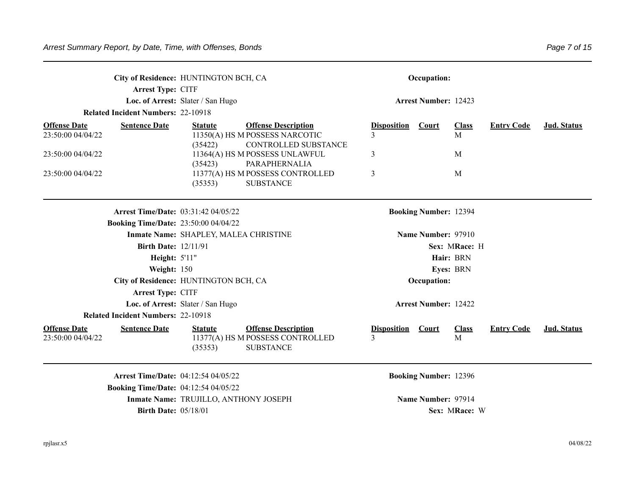|                                          | City of Residence: HUNTINGTON BCH, CA       |                                       |                                                                                    |                                           | Occupation:                  |                   |                   |             |
|------------------------------------------|---------------------------------------------|---------------------------------------|------------------------------------------------------------------------------------|-------------------------------------------|------------------------------|-------------------|-------------------|-------------|
|                                          | Arrest Type: CITF                           |                                       |                                                                                    |                                           |                              |                   |                   |             |
|                                          |                                             | Loc. of Arrest: Slater / San Hugo     |                                                                                    |                                           | <b>Arrest Number: 12423</b>  |                   |                   |             |
|                                          | <b>Related Incident Numbers: 22-10918</b>   |                                       |                                                                                    |                                           |                              |                   |                   |             |
| <b>Offense Date</b>                      | <b>Sentence Date</b>                        | <b>Statute</b>                        | <b>Offense Description</b>                                                         | <b>Disposition</b>                        | Court                        | <b>Class</b>      | <b>Entry Code</b> | Jud. Status |
| 23:50:00 04/04/22                        |                                             | (35422)                               | 11350(A) HS M POSSESS NARCOTIC<br>CONTROLLED SUBSTANCE                             |                                           |                              | M                 |                   |             |
| 23:50:00 04/04/22                        |                                             | (35423)                               | 11364(A) HS M POSSESS UNLAWFUL<br>PARAPHERNALIA                                    | 3                                         |                              | M                 |                   |             |
| 23:50:00 04/04/22                        |                                             | (35353)                               | 11377(A) HS M POSSESS CONTROLLED<br><b>SUBSTANCE</b>                               | 3                                         |                              | M                 |                   |             |
|                                          | <b>Arrest Time/Date: 03:31:42 04/05/22</b>  |                                       |                                                                                    |                                           | <b>Booking Number: 12394</b> |                   |                   |             |
|                                          | <b>Booking Time/Date: 23:50:00 04/04/22</b> |                                       |                                                                                    |                                           |                              |                   |                   |             |
|                                          |                                             | Inmate Name: SHAPLEY, MALEA CHRISTINE |                                                                                    |                                           | Name Number: 97910           |                   |                   |             |
|                                          | <b>Birth Date: 12/11/91</b>                 |                                       |                                                                                    |                                           |                              | Sex: MRace: H     |                   |             |
|                                          | <b>Height: 5'11"</b>                        |                                       |                                                                                    |                                           |                              | Hair: BRN         |                   |             |
|                                          | Weight: 150                                 |                                       |                                                                                    |                                           |                              | Eyes: BRN         |                   |             |
|                                          | City of Residence: HUNTINGTON BCH, CA       |                                       |                                                                                    |                                           | Occupation:                  |                   |                   |             |
|                                          | Arrest Type: CITF                           |                                       |                                                                                    |                                           |                              |                   |                   |             |
|                                          |                                             | Loc. of Arrest: Slater / San Hugo     |                                                                                    |                                           | <b>Arrest Number: 12422</b>  |                   |                   |             |
|                                          | <b>Related Incident Numbers: 22-10918</b>   |                                       |                                                                                    |                                           |                              |                   |                   |             |
| <b>Offense Date</b><br>23:50:00 04/04/22 | <b>Sentence Date</b>                        | <b>Statute</b><br>(35353)             | <b>Offense Description</b><br>11377(A) HS M POSSESS CONTROLLED<br><b>SUBSTANCE</b> | <b>Disposition</b> Court<br>$\mathcal{E}$ |                              | <b>Class</b><br>M | <b>Entry Code</b> | Jud. Status |
|                                          | Arrest Time/Date: 04:12:54 04/05/22         |                                       |                                                                                    |                                           | <b>Booking Number: 12396</b> |                   |                   |             |
|                                          | <b>Booking Time/Date: 04:12:54 04/05/22</b> |                                       |                                                                                    |                                           |                              |                   |                   |             |
|                                          |                                             | Inmate Name: TRUJILLO, ANTHONY JOSEPH |                                                                                    |                                           | Name Number: 97914           |                   |                   |             |
|                                          | <b>Birth Date: 05/18/01</b>                 |                                       |                                                                                    |                                           |                              | Sex: MRace: W     |                   |             |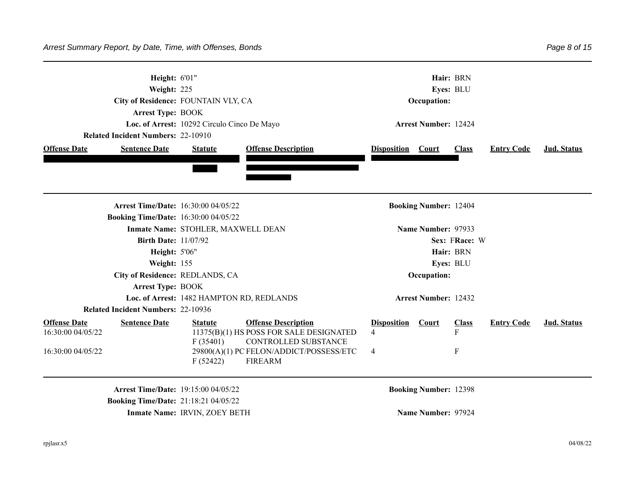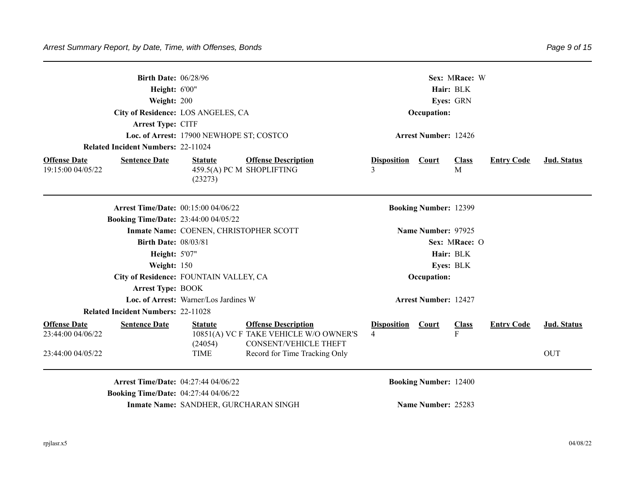|                                          | <b>Birth Date: 06/28/96</b>                 |                                          |                                                                                                      |                         | Sex: MRace: W                |                   |                   |                    |  |  |
|------------------------------------------|---------------------------------------------|------------------------------------------|------------------------------------------------------------------------------------------------------|-------------------------|------------------------------|-------------------|-------------------|--------------------|--|--|
|                                          | <b>Height: 6'00"</b>                        |                                          |                                                                                                      |                         |                              | Hair: BLK         |                   |                    |  |  |
|                                          | Weight: 200                                 |                                          |                                                                                                      |                         |                              | Eyes: GRN         |                   |                    |  |  |
|                                          |                                             | City of Residence: LOS ANGELES, CA       |                                                                                                      |                         | Occupation:                  |                   |                   |                    |  |  |
|                                          | Arrest Type: CITF                           |                                          |                                                                                                      |                         |                              |                   |                   |                    |  |  |
|                                          |                                             | Loc. of Arrest: 17900 NEWHOPE ST; COSTCO |                                                                                                      |                         | <b>Arrest Number: 12426</b>  |                   |                   |                    |  |  |
|                                          | <b>Related Incident Numbers: 22-11024</b>   |                                          |                                                                                                      |                         |                              |                   |                   |                    |  |  |
| <b>Offense Date</b>                      | <b>Sentence Date</b>                        | <b>Statute</b>                           | <b>Offense Description</b>                                                                           | <b>Disposition</b>      | Court                        | <b>Class</b>      | <b>Entry Code</b> | <b>Jud. Status</b> |  |  |
| 19:15:00 04/05/22                        |                                             | (23273)                                  | 459.5(A) PC M SHOPLIFTING                                                                            | 3                       |                              | M                 |                   |                    |  |  |
|                                          | <b>Arrest Time/Date: 00:15:00 04/06/22</b>  |                                          |                                                                                                      |                         | <b>Booking Number: 12399</b> |                   |                   |                    |  |  |
|                                          | <b>Booking Time/Date: 23:44:00 04/05/22</b> |                                          |                                                                                                      |                         |                              |                   |                   |                    |  |  |
|                                          |                                             | Inmate Name: COENEN, CHRISTOPHER SCOTT   |                                                                                                      |                         | Name Number: 97925           |                   |                   |                    |  |  |
|                                          | <b>Birth Date: 08/03/81</b>                 |                                          |                                                                                                      |                         |                              | Sex: MRace: O     |                   |                    |  |  |
|                                          | <b>Height: 5'07"</b>                        |                                          |                                                                                                      | Hair: BLK               |                              |                   |                   |                    |  |  |
|                                          | Weight: 150                                 |                                          |                                                                                                      | Eyes: BLK               |                              |                   |                   |                    |  |  |
|                                          |                                             | City of Residence: FOUNTAIN VALLEY, CA   |                                                                                                      | Occupation:             |                              |                   |                   |                    |  |  |
|                                          | <b>Arrest Type: BOOK</b>                    |                                          |                                                                                                      |                         |                              |                   |                   |                    |  |  |
|                                          |                                             | Loc. of Arrest: Warner/Los Jardines W    |                                                                                                      |                         | <b>Arrest Number: 12427</b>  |                   |                   |                    |  |  |
|                                          | <b>Related Incident Numbers: 22-11028</b>   |                                          |                                                                                                      |                         |                              |                   |                   |                    |  |  |
| <b>Offense Date</b><br>23:44:00 04/06/22 | <b>Sentence Date</b>                        | <b>Statute</b><br>(24054)                | <b>Offense Description</b><br>10851(A) VC F TAKE VEHICLE W/O OWNER'S<br><b>CONSENT/VEHICLE THEFT</b> | <b>Disposition</b><br>4 | <b>Court</b>                 | <b>Class</b><br>F | <b>Entry Code</b> | <b>Jud. Status</b> |  |  |
| 23:44:00 04/05/22                        |                                             | <b>TIME</b>                              | Record for Time Tracking Only                                                                        |                         |                              |                   |                   | <b>OUT</b>         |  |  |
|                                          | <b>Arrest Time/Date: 04:27:44 04/06/22</b>  |                                          |                                                                                                      |                         | <b>Booking Number: 12400</b> |                   |                   |                    |  |  |
|                                          | <b>Booking Time/Date: 04:27:44 04/06/22</b> |                                          |                                                                                                      |                         |                              |                   |                   |                    |  |  |

**Inmate Name: SANDHER, GURCHARAN SINGH Name Number: 25283**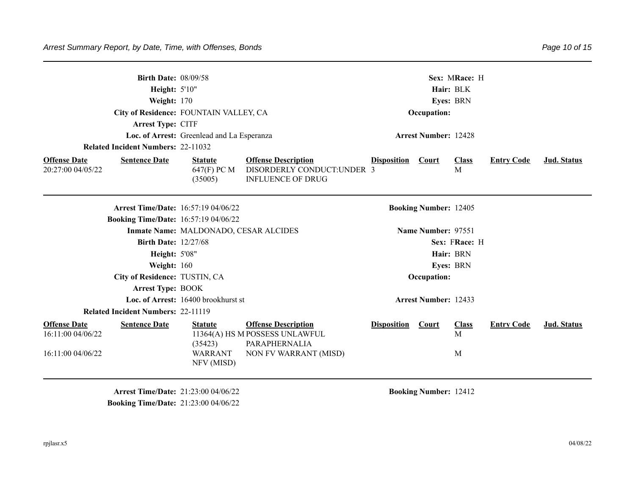| <b>Birth Date: 08/09/58</b><br>Height: 5'10"<br>Weight: 170<br>Arrest Type: CITF<br><b>Related Incident Numbers: 22-11032</b> | City of Residence: FOUNTAIN VALLEY, CA<br>Loc. of Arrest: Greenlead and La Esperanza |                                                                                                        |                    | Occupation:<br><b>Arrest Number: 12428</b> | Sex: MRace: H<br>Hair: BLK<br>Eyes: BRN |                   |                    |
|-------------------------------------------------------------------------------------------------------------------------------|--------------------------------------------------------------------------------------|--------------------------------------------------------------------------------------------------------|--------------------|--------------------------------------------|-----------------------------------------|-------------------|--------------------|
| <b>Offense Date</b><br><b>Sentence Date</b><br>20:27:00 04/05/22                                                              | <b>Statute</b><br>647(F) PC M<br>(35005)                                             | <b>Offense Description</b><br>DISORDERLY CONDUCT: UNDER 3<br><b>INFLUENCE OF DRUG</b>                  | <b>Disposition</b> | <b>Court</b>                               | <b>Class</b><br>M                       | <b>Entry Code</b> | Jud. Status        |
| <b>Booking Time/Date: 16:57:19 04/06/22</b>                                                                                   | <b>Arrest Time/Date: 16:57:19 04/06/22</b>                                           |                                                                                                        |                    | <b>Booking Number: 12405</b>               |                                         |                   |                    |
|                                                                                                                               | Inmate Name: MALDONADO, CESAR ALCIDES                                                |                                                                                                        |                    | Name Number: 97551                         |                                         |                   |                    |
| <b>Birth Date: 12/27/68</b>                                                                                                   |                                                                                      |                                                                                                        |                    |                                            | Sex: FRace: H                           |                   |                    |
| <b>Height: 5'08"</b>                                                                                                          |                                                                                      |                                                                                                        |                    |                                            | Hair: BRN                               |                   |                    |
| Weight: $160$                                                                                                                 |                                                                                      |                                                                                                        |                    |                                            | <b>Eyes: BRN</b>                        |                   |                    |
| City of Residence: TUSTIN, CA                                                                                                 |                                                                                      |                                                                                                        |                    | Occupation:                                |                                         |                   |                    |
| <b>Arrest Type: BOOK</b>                                                                                                      |                                                                                      |                                                                                                        |                    |                                            |                                         |                   |                    |
|                                                                                                                               | Loc. of Arrest: 16400 brookhurst st                                                  |                                                                                                        |                    | <b>Arrest Number: 12433</b>                |                                         |                   |                    |
| <b>Related Incident Numbers: 22-11119</b>                                                                                     |                                                                                      |                                                                                                        |                    |                                            |                                         |                   |                    |
| <b>Offense Date</b><br><b>Sentence Date</b><br>16:11:00 04/06/22<br>16:11:00 04/06/22                                         | <b>Statute</b><br>(35423)<br>WARRANT<br>NFV (MISD)                                   | <b>Offense Description</b><br>11364(A) HS M POSSESS UNLAWFUL<br>PARAPHERNALIA<br>NON FV WARRANT (MISD) | <b>Disposition</b> | Court                                      | <b>Class</b><br>M<br>M                  | <b>Entry Code</b> | <b>Jud. Status</b> |

**Arrest Time/Date:** 21:23:00 04/06/22 **Booking Number:** 12412 **Booking Time/Date:** 21:23:00 04/06/22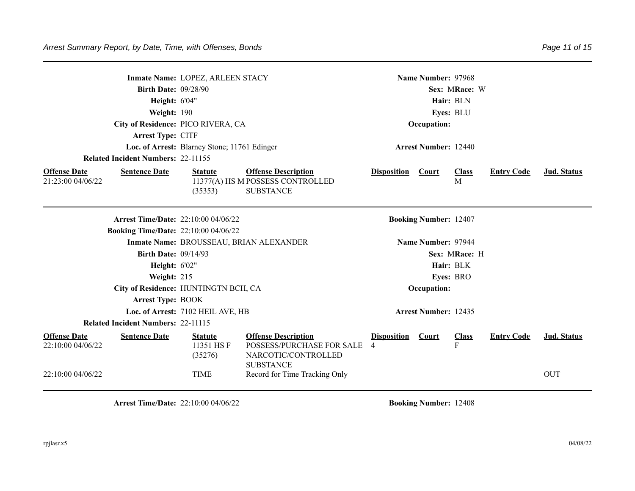|                                                               |                                           | Inmate Name: LOPEZ, ARLEEN STACY                      |                                                                                                                                     |                         | Name Number: 97968           |                   |                   |                                  |
|---------------------------------------------------------------|-------------------------------------------|-------------------------------------------------------|-------------------------------------------------------------------------------------------------------------------------------------|-------------------------|------------------------------|-------------------|-------------------|----------------------------------|
|                                                               | <b>Birth Date: 09/28/90</b>               |                                                       |                                                                                                                                     |                         |                              | Sex: MRace: W     |                   |                                  |
|                                                               | <b>Height: 6'04"</b>                      |                                                       |                                                                                                                                     |                         |                              | Hair: BLN         |                   |                                  |
|                                                               | Weight: 190                               |                                                       |                                                                                                                                     |                         |                              | Eyes: BLU         |                   |                                  |
|                                                               |                                           | City of Residence: PICO RIVERA, CA                    |                                                                                                                                     |                         | Occupation:                  |                   |                   |                                  |
|                                                               | Arrest Type: CITF                         |                                                       |                                                                                                                                     |                         |                              |                   |                   |                                  |
|                                                               |                                           | Loc. of Arrest: Blarney Stone; 11761 Edinger          |                                                                                                                                     |                         | <b>Arrest Number: 12440</b>  |                   |                   |                                  |
|                                                               | <b>Related Incident Numbers: 22-11155</b> |                                                       |                                                                                                                                     |                         |                              |                   |                   |                                  |
| <b>Offense Date</b><br>21:23:00 04/06/22                      | <b>Sentence Date</b>                      | <b>Statute</b><br>(35353)                             | <b>Offense Description</b><br>11377(A) HS M POSSESS CONTROLLED<br><b>SUBSTANCE</b>                                                  | <b>Disposition</b>      | <b>Court</b>                 | <b>Class</b><br>M | <b>Entry Code</b> | Jud. Status                      |
|                                                               |                                           | <b>Arrest Time/Date: 22:10:00 04/06/22</b>            |                                                                                                                                     |                         | <b>Booking Number: 12407</b> |                   |                   |                                  |
|                                                               |                                           | <b>Booking Time/Date: 22:10:00 04/06/22</b>           |                                                                                                                                     |                         |                              |                   |                   |                                  |
|                                                               |                                           |                                                       | Inmate Name: BROUSSEAU, BRIAN ALEXANDER                                                                                             |                         | Name Number: 97944           |                   |                   |                                  |
|                                                               | <b>Birth Date: 09/14/93</b>               |                                                       |                                                                                                                                     |                         |                              | Sex: MRace: H     |                   |                                  |
|                                                               | <b>Height: 6'02"</b>                      |                                                       |                                                                                                                                     |                         |                              | Hair: BLK         |                   |                                  |
|                                                               | Weight: 215                               |                                                       |                                                                                                                                     |                         |                              | Eyes: BRO         |                   |                                  |
|                                                               |                                           | City of Residence: HUNTINGTN BCH, CA                  |                                                                                                                                     |                         | Occupation:                  |                   |                   |                                  |
|                                                               | <b>Arrest Type: BOOK</b>                  |                                                       |                                                                                                                                     |                         |                              |                   |                   |                                  |
|                                                               |                                           | Loc. of Arrest: 7102 HEIL AVE, HB                     |                                                                                                                                     |                         | <b>Arrest Number: 12435</b>  |                   |                   |                                  |
|                                                               | <b>Related Incident Numbers: 22-11115</b> |                                                       |                                                                                                                                     |                         |                              |                   |                   |                                  |
| <b>Offense Date</b><br>22:10:00 04/06/22<br>22:10:00 04/06/22 | <b>Sentence Date</b>                      | <b>Statute</b><br>11351 HSF<br>(35276)<br><b>TIME</b> | <b>Offense Description</b><br>POSSESS/PURCHASE FOR SALE<br>NARCOTIC/CONTROLLED<br><b>SUBSTANCE</b><br>Record for Time Tracking Only | <b>Disposition</b><br>4 | Court                        | <b>Class</b><br>F | <b>Entry Code</b> | <b>Jud.</b> Status<br><b>OUT</b> |
|                                                               |                                           |                                                       |                                                                                                                                     |                         |                              |                   |                   |                                  |

**Arrest Time/Date:** 22:10:00 04/06/22 **Booking Number:** 12408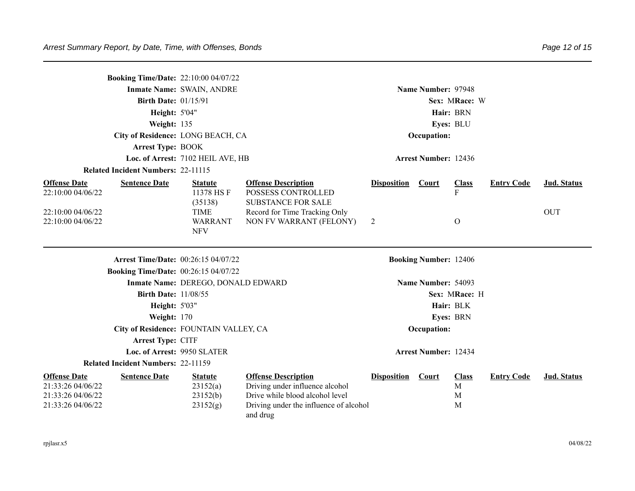| <b>Booking Time/Date: 22:10:00 04/07/22</b>                                        | City of Residence: LONG BEACH, CA           | Name Number: 97948<br>Sex: MRace: W<br>Hair: BRN<br>Eyes: BLU<br>Occupation: |                                                                                                                                                        |                    |                              |                             |                   |                           |
|------------------------------------------------------------------------------------|---------------------------------------------|------------------------------------------------------------------------------|--------------------------------------------------------------------------------------------------------------------------------------------------------|--------------------|------------------------------|-----------------------------|-------------------|---------------------------|
|                                                                                    | <b>Arrest Type: BOOK</b>                    | Loc. of Arrest: 7102 HEIL AVE, HB                                            |                                                                                                                                                        |                    | <b>Arrest Number: 12436</b>  |                             |                   |                           |
|                                                                                    | <b>Related Incident Numbers: 22-11115</b>   |                                                                              |                                                                                                                                                        |                    |                              |                             |                   |                           |
| <b>Offense Date</b><br>22:10:00 04/06/22<br>22:10:00 04/06/22                      | <b>Sentence Date</b>                        | <b>Statute</b><br>11378 HSF<br>(35138)<br><b>TIME</b>                        | <b>Offense Description</b><br>POSSESS CONTROLLED<br><b>SUBSTANCE FOR SALE</b><br>Record for Time Tracking Only                                         | <b>Disposition</b> | <b>Court</b>                 | <b>Class</b><br>${\bf F}$   | <b>Entry Code</b> | Jud. Status<br><b>OUT</b> |
| 22:10:00 04/06/22                                                                  |                                             | <b>WARRANT</b><br><b>NFV</b>                                                 | NON FV WARRANT (FELONY)                                                                                                                                | 2                  |                              | $\mathbf O$                 |                   |                           |
|                                                                                    | <b>Arrest Time/Date: 00:26:15 04/07/22</b>  |                                                                              |                                                                                                                                                        |                    | <b>Booking Number: 12406</b> |                             |                   |                           |
|                                                                                    | <b>Booking Time/Date: 00:26:15 04/07/22</b> |                                                                              |                                                                                                                                                        |                    |                              |                             |                   |                           |
|                                                                                    |                                             | Inmate Name: DEREGO, DONALD EDWARD                                           |                                                                                                                                                        |                    | Name Number: 54093           |                             |                   |                           |
|                                                                                    | <b>Birth Date: 11/08/55</b>                 |                                                                              |                                                                                                                                                        |                    |                              | Sex: MRace: H               |                   |                           |
|                                                                                    | <b>Height: 5'03"</b>                        |                                                                              |                                                                                                                                                        |                    | Hair: BLK                    |                             |                   |                           |
|                                                                                    | <b>Weight: 170</b>                          |                                                                              |                                                                                                                                                        |                    | Eyes: BRN                    |                             |                   |                           |
|                                                                                    | City of Residence: FOUNTAIN VALLEY, CA      |                                                                              |                                                                                                                                                        |                    | Occupation:                  |                             |                   |                           |
|                                                                                    | Arrest Type: CITF                           |                                                                              |                                                                                                                                                        |                    |                              |                             |                   |                           |
|                                                                                    | Loc. of Arrest: 9950 SLATER                 |                                                                              |                                                                                                                                                        |                    | <b>Arrest Number: 12434</b>  |                             |                   |                           |
|                                                                                    | <b>Related Incident Numbers: 22-11159</b>   |                                                                              |                                                                                                                                                        |                    |                              |                             |                   |                           |
| <b>Offense Date</b><br>21:33:26 04/06/22<br>21:33:26 04/06/22<br>21:33:26 04/06/22 | <b>Sentence Date</b>                        | <b>Statute</b><br>23152(a)<br>23152(b)<br>23152(g)                           | <b>Offense Description</b><br>Driving under influence alcohol<br>Drive while blood alcohol level<br>Driving under the influence of alcohol<br>and drug | <b>Disposition</b> | Court                        | <b>Class</b><br>M<br>M<br>M | <b>Entry Code</b> | <b>Jud. Status</b>        |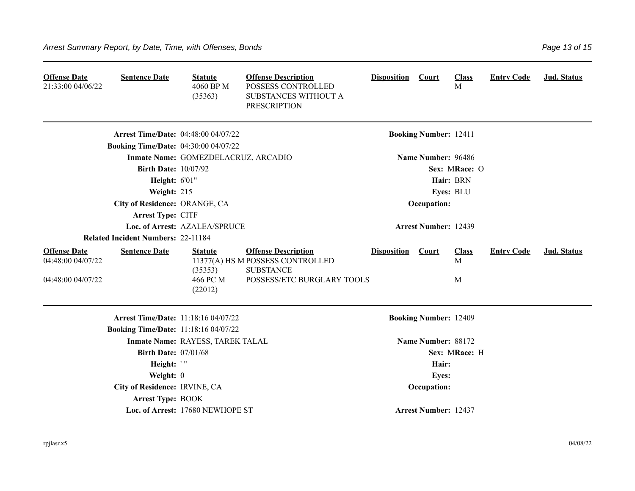| <b>Offense Date</b><br>21:33:00 04/06/22                      | <b>Sentence Date</b>                        | <b>Statute</b><br>4060 BP M<br>(35363)           | <b>Offense Description</b><br>POSSESS CONTROLLED<br>SUBSTANCES WITHOUT A<br><b>PRESCRIPTION</b>                  | <b>Disposition</b> | Court                        | <b>Class</b><br>M      | <b>Entry Code</b> | Jud. Status |
|---------------------------------------------------------------|---------------------------------------------|--------------------------------------------------|------------------------------------------------------------------------------------------------------------------|--------------------|------------------------------|------------------------|-------------------|-------------|
|                                                               | <b>Arrest Time/Date: 04:48:00 04/07/22</b>  |                                                  |                                                                                                                  |                    | <b>Booking Number: 12411</b> |                        |                   |             |
|                                                               | <b>Booking Time/Date: 04:30:00 04/07/22</b> |                                                  |                                                                                                                  |                    |                              |                        |                   |             |
|                                                               |                                             | Inmate Name: GOMEZDELACRUZ, ARCADIO              |                                                                                                                  |                    | Name Number: 96486           |                        |                   |             |
|                                                               | <b>Birth Date: 10/07/92</b>                 |                                                  |                                                                                                                  |                    |                              | Sex: MRace: O          |                   |             |
|                                                               | Height: 6'01"                               |                                                  |                                                                                                                  |                    |                              | Hair: BRN              |                   |             |
|                                                               | Weight: 215                                 |                                                  |                                                                                                                  |                    |                              | Eyes: BLU              |                   |             |
|                                                               | City of Residence: ORANGE, CA               |                                                  |                                                                                                                  |                    | Occupation:                  |                        |                   |             |
|                                                               | Arrest Type: CITF                           |                                                  |                                                                                                                  |                    |                              |                        |                   |             |
|                                                               |                                             | Loc. of Arrest: AZALEA/SPRUCE                    |                                                                                                                  |                    | <b>Arrest Number: 12439</b>  |                        |                   |             |
|                                                               | <b>Related Incident Numbers: 22-11184</b>   |                                                  |                                                                                                                  |                    |                              |                        |                   |             |
| <b>Offense Date</b><br>04:48:00 04/07/22<br>04:48:00 04/07/22 | <b>Sentence Date</b>                        | <b>Statute</b><br>(35353)<br>466 PC M<br>(22012) | <b>Offense Description</b><br>11377(A) HS M POSSESS CONTROLLED<br><b>SUBSTANCE</b><br>POSSESS/ETC BURGLARY TOOLS | <b>Disposition</b> | Court                        | <b>Class</b><br>M<br>M | <b>Entry Code</b> | Jud. Status |
|                                                               | <b>Arrest Time/Date: 11:18:16 04/07/22</b>  |                                                  |                                                                                                                  |                    | <b>Booking Number: 12409</b> |                        |                   |             |
|                                                               | <b>Booking Time/Date: 11:18:16 04/07/22</b> |                                                  |                                                                                                                  |                    |                              |                        |                   |             |
|                                                               |                                             | Inmate Name: RAYESS, TAREK TALAL                 |                                                                                                                  |                    | Name Number: 88172           |                        |                   |             |
|                                                               | <b>Birth Date: 07/01/68</b>                 |                                                  |                                                                                                                  |                    |                              | Sex: MRace: H          |                   |             |
|                                                               | Height: '"                                  |                                                  |                                                                                                                  |                    | Hair:                        |                        |                   |             |
|                                                               | Weight: 0                                   |                                                  |                                                                                                                  |                    | <b>Eyes:</b>                 |                        |                   |             |
|                                                               | City of Residence: IRVINE, CA               |                                                  |                                                                                                                  |                    | Occupation:                  |                        |                   |             |
|                                                               | <b>Arrest Type: BOOK</b>                    |                                                  |                                                                                                                  |                    |                              |                        |                   |             |
|                                                               |                                             | Loc. of Arrest: 17680 NEWHOPE ST                 |                                                                                                                  |                    | <b>Arrest Number: 12437</b>  |                        |                   |             |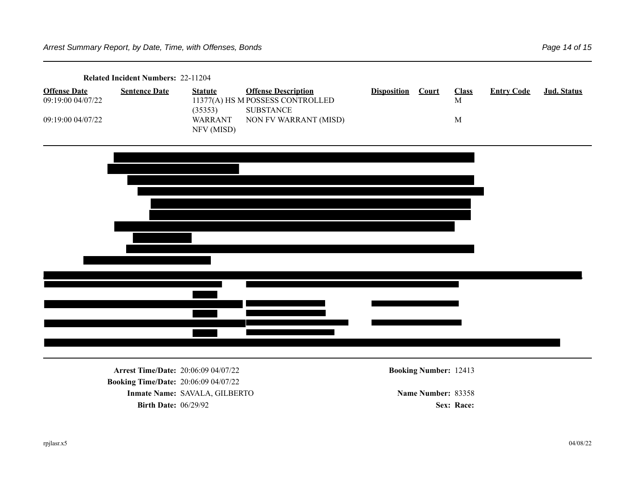| Related Incident Numbers: 22-11204       |                      |                              |                                                                                    |                    |       |                             |                   |             |  |
|------------------------------------------|----------------------|------------------------------|------------------------------------------------------------------------------------|--------------------|-------|-----------------------------|-------------------|-------------|--|
| <b>Offense Date</b><br>09:19:00 04/07/22 | <b>Sentence Date</b> | <b>Statute</b><br>(35353)    | <b>Offense Description</b><br>11377(A) HS M POSSESS CONTROLLED<br><b>SUBSTANCE</b> | <b>Disposition</b> | Court | <b>Class</b><br>$\mathbf M$ | <b>Entry Code</b> | Jud. Status |  |
| 09:19:00 04/07/22                        |                      | <b>WARRANT</b><br>NFV (MISD) | NON FV WARRANT (MISD)                                                              |                    |       | $\mathbf M$                 |                   |             |  |
|                                          |                      |                              |                                                                                    |                    |       |                             |                   |             |  |
|                                          |                      |                              |                                                                                    |                    |       |                             |                   |             |  |
|                                          |                      |                              |                                                                                    |                    |       |                             |                   |             |  |
|                                          |                      |                              |                                                                                    |                    |       |                             |                   |             |  |
|                                          |                      |                              |                                                                                    |                    |       |                             |                   |             |  |
|                                          |                      |                              |                                                                                    |                    |       |                             |                   |             |  |
|                                          |                      |                              |                                                                                    |                    |       |                             |                   |             |  |
|                                          |                      |                              |                                                                                    |                    |       |                             |                   |             |  |

**Arrest Time/Date:** 20:06:09 04/07/22 **Booking Number:** 12413 **Booking Time/Date:** 20:06:09 04/07/22 **Inmate Name: SAVALA, GILBERTO Name Number: 83358 Birth Date:**  $06/29/92$  **Sex: Race:** *Sex: Race:*